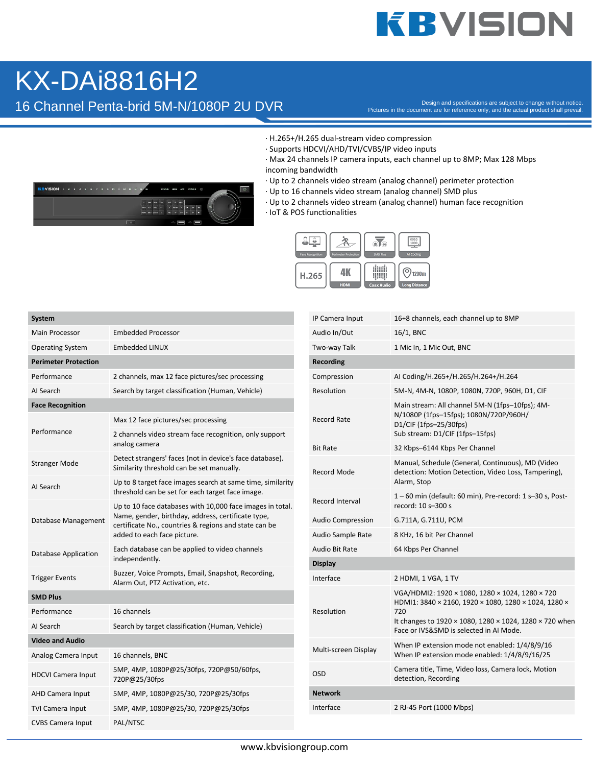## **KBVISION**

### KX-DAi8816H2

16 Channel Penta-brid 5M-N/1080P 2U DVR

Pictures in the document are for reference only, and the actual product shall prevail.

- · H.265+/H.265 dual-stream video compression
- · Supports HDCVI/AHD/TVI/CVBS/IP video inputs
- · Max 24 channels IP camera inputs, each channel up to 8MP; Max 128 Mbps incoming bandwidth
- · Up to 2 channels video stream (analog channel) perimeter protection
- · Up to 16 channels video stream (analog channel) SMD plus
- · Up to 2 channels video stream (analog channel) human face recognition
- · IoT & POS functionalities



| System                      |                                                                                                                                                                                                         |  |  |  |
|-----------------------------|---------------------------------------------------------------------------------------------------------------------------------------------------------------------------------------------------------|--|--|--|
| <b>Main Processor</b>       | Embedded Processor                                                                                                                                                                                      |  |  |  |
| <b>Operating System</b>     | <b>Embedded LINUX</b>                                                                                                                                                                                   |  |  |  |
| <b>Perimeter Protection</b> |                                                                                                                                                                                                         |  |  |  |
| Performance                 | 2 channels, max 12 face pictures/sec processing                                                                                                                                                         |  |  |  |
| AI Search                   | Search by target classification (Human, Vehicle)                                                                                                                                                        |  |  |  |
| <b>Face Recognition</b>     |                                                                                                                                                                                                         |  |  |  |
|                             | Max 12 face pictures/sec processing                                                                                                                                                                     |  |  |  |
| Performance                 | 2 channels video stream face recognition, only support<br>analog camera                                                                                                                                 |  |  |  |
| <b>Stranger Mode</b>        | Detect strangers' faces (not in device's face database).<br>Similarity threshold can be set manually.                                                                                                   |  |  |  |
| AI Search                   | Up to 8 target face images search at same time, similarity<br>threshold can be set for each target face image.                                                                                          |  |  |  |
| Database Management         | Up to 10 face databases with 10,000 face images in total.<br>Name, gender, birthday, address, certificate type,<br>certificate No., countries & regions and state can be<br>added to each face picture. |  |  |  |
| Database Application        | Each database can be applied to video channels<br>independently.                                                                                                                                        |  |  |  |
| <b>Trigger Events</b>       | Buzzer, Voice Prompts, Email, Snapshot, Recording,<br>Alarm Out, PTZ Activation, etc.                                                                                                                   |  |  |  |
| <b>SMD Plus</b>             |                                                                                                                                                                                                         |  |  |  |
| Performance                 | 16 channels                                                                                                                                                                                             |  |  |  |
| AI Search                   | Search by target classification (Human, Vehicle)                                                                                                                                                        |  |  |  |
| <b>Video and Audio</b>      |                                                                                                                                                                                                         |  |  |  |
| Analog Camera Input         | 16 channels, BNC                                                                                                                                                                                        |  |  |  |
| <b>HDCVI Camera Input</b>   | 5MP, 4MP, 1080P@25/30fps, 720P@50/60fps,<br>720P@25/30fps                                                                                                                                               |  |  |  |
| AHD Camera Input            | 5MP, 4MP, 1080P@25/30, 720P@25/30fps                                                                                                                                                                    |  |  |  |
| <b>TVI Camera Input</b>     | 5MP, 4MP, 1080P@25/30, 720P@25/30fps                                                                                                                                                                    |  |  |  |
| <b>CVBS Camera Input</b>    | PAL/NTSC                                                                                                                                                                                                |  |  |  |

| IP Camera Input          | 16+8 channels, each channel up to 8MP                                                                                                                                                                                |  |  |  |
|--------------------------|----------------------------------------------------------------------------------------------------------------------------------------------------------------------------------------------------------------------|--|--|--|
| Audio In/Out             | 16/1, BNC                                                                                                                                                                                                            |  |  |  |
| Two-way Talk             | 1 Mic In, 1 Mic Out, BNC                                                                                                                                                                                             |  |  |  |
| Recording                |                                                                                                                                                                                                                      |  |  |  |
| Compression              | AI Coding/H.265+/H.265/H.264+/H.264                                                                                                                                                                                  |  |  |  |
| Resolution               | 5M-N, 4M-N, 1080P, 1080N, 720P, 960H, D1, CIF                                                                                                                                                                        |  |  |  |
| <b>Record Rate</b>       | Main stream: All channel 5M-N (1fps-10fps); 4M-<br>N/1080P (1fps-15fps); 1080N/720P/960H/<br>D1/CIF (1fps-25/30fps)<br>Sub stream: D1/CIF (1fps-15fps)                                                               |  |  |  |
| <b>Bit Rate</b>          | 32 Kbps-6144 Kbps Per Channel                                                                                                                                                                                        |  |  |  |
| Record Mode              | Manual, Schedule (General, Continuous), MD (Video<br>detection: Motion Detection, Video Loss, Tampering),<br>Alarm, Stop                                                                                             |  |  |  |
| Record Interval          | 1-60 min (default: 60 min), Pre-record: 1 s-30 s, Post-<br>record: 10 s-300 s                                                                                                                                        |  |  |  |
| <b>Audio Compression</b> | G.711A, G.711U, PCM                                                                                                                                                                                                  |  |  |  |
| <b>Audio Sample Rate</b> | 8 KHz, 16 bit Per Channel                                                                                                                                                                                            |  |  |  |
| Audio Bit Rate           | 64 Kbps Per Channel                                                                                                                                                                                                  |  |  |  |
| <b>Display</b>           |                                                                                                                                                                                                                      |  |  |  |
| Interface                | 2 HDMI, 1 VGA, 1 TV                                                                                                                                                                                                  |  |  |  |
| Resolution               | VGA/HDMI2: 1920 × 1080, 1280 × 1024, 1280 × 720<br>HDMI1: 3840 × 2160, 1920 × 1080, 1280 × 1024, 1280 ×<br>720<br>It changes to 1920 × 1080, 1280 × 1024, 1280 × 720 when<br>Face or IVS&SMD is selected in AI Mode. |  |  |  |
| Multi-screen Display     | When IP extension mode not enabled: 1/4/8/9/16<br>When IP extension mode enabled: 1/4/8/9/16/25                                                                                                                      |  |  |  |
| <b>OSD</b>               | Camera title, Time, Video loss, Camera lock, Motion<br>detection, Recording                                                                                                                                          |  |  |  |
| <b>Network</b>           |                                                                                                                                                                                                                      |  |  |  |
| Interface                | 2 RJ-45 Port (1000 Mbps)                                                                                                                                                                                             |  |  |  |